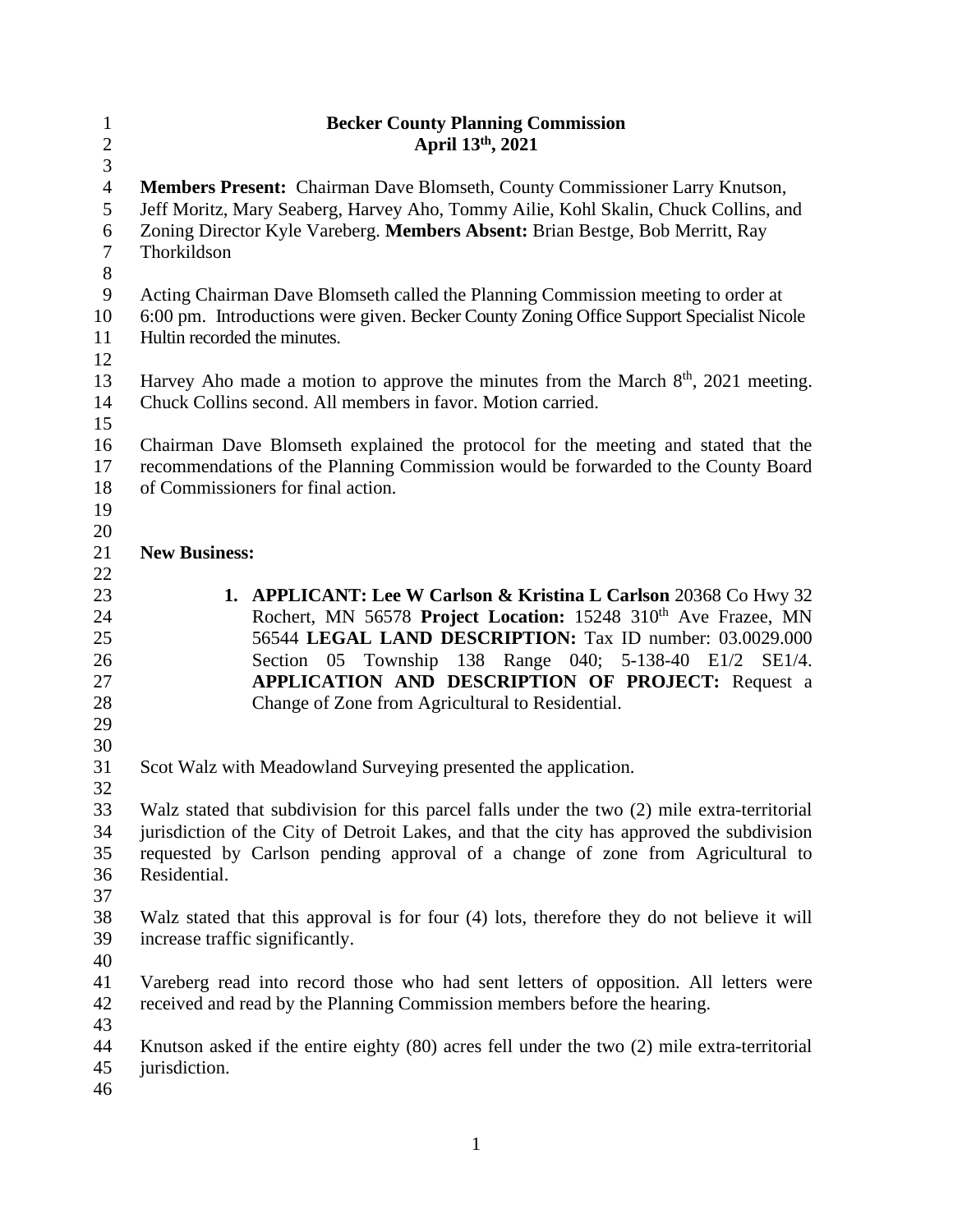| $\mathbf{1}$   | <b>Becker County Planning Commission</b>                                                        |
|----------------|-------------------------------------------------------------------------------------------------|
| $\sqrt{2}$     | April 13th, 2021                                                                                |
| $\mathfrak{Z}$ |                                                                                                 |
| $\overline{4}$ | Members Present: Chairman Dave Blomseth, County Commissioner Larry Knutson,                     |
| 5              | Jeff Moritz, Mary Seaberg, Harvey Aho, Tommy Ailie, Kohl Skalin, Chuck Collins, and             |
| 6              | Zoning Director Kyle Vareberg. Members Absent: Brian Bestge, Bob Merritt, Ray                   |
| $\overline{7}$ | Thorkildson                                                                                     |
| $8\,$          |                                                                                                 |
| $\mathbf{9}$   | Acting Chairman Dave Blomseth called the Planning Commission meeting to order at                |
| 10             | 6:00 pm. Introductions were given. Becker County Zoning Office Support Specialist Nicole        |
| 11             | Hultin recorded the minutes.                                                                    |
| 12             |                                                                                                 |
| 13             | Harvey Aho made a motion to approve the minutes from the March $8th$ , 2021 meeting.            |
| 14             | Chuck Collins second. All members in favor. Motion carried.                                     |
| 15             |                                                                                                 |
| 16             | Chairman Dave Blomseth explained the protocol for the meeting and stated that the               |
| 17             | recommendations of the Planning Commission would be forwarded to the County Board               |
| 18             | of Commissioners for final action.                                                              |
| 19             |                                                                                                 |
| 20             |                                                                                                 |
| 21             | <b>New Business:</b>                                                                            |
| 22             |                                                                                                 |
| 23             | 1. APPLICANT: Lee W Carlson & Kristina L Carlson 20368 Co Hwy 32                                |
| 24             | Rochert, MN 56578 Project Location: 15248 310 <sup>th</sup> Ave Frazee, MN                      |
| 25             | 56544 LEGAL LAND DESCRIPTION: Tax ID number: 03.0029.000                                        |
| 26             | Section 05 Township 138 Range 040; 5-138-40 E1/2 SE1/4.                                         |
| 27             | APPLICATION AND DESCRIPTION OF PROJECT: Request a                                               |
| 28             | Change of Zone from Agricultural to Residential.                                                |
| 29             |                                                                                                 |
| 30             |                                                                                                 |
| 31             | Scot Walz with Meadowland Surveying presented the application.                                  |
| 32             |                                                                                                 |
| 33             | Walz stated that subdivision for this parcel falls under the two (2) mile extra-territorial     |
| 34             | jurisdiction of the City of Detroit Lakes, and that the city has approved the subdivision       |
| 35             | requested by Carlson pending approval of a change of zone from Agricultural to                  |
| 36             | Residential.                                                                                    |
| 37             |                                                                                                 |
| 38             | Walz stated that this approval is for four (4) lots, therefore they do not believe it will      |
| 39             | increase traffic significantly.                                                                 |
| 40             |                                                                                                 |
| 41             | Vareberg read into record those who had sent letters of opposition. All letters were            |
| 42             | received and read by the Planning Commission members before the hearing.                        |
| 43             |                                                                                                 |
| 44             | Knutson asked if the entire eighty $(80)$ acres fell under the two $(2)$ mile extra-territorial |
| 45             | jurisdiction.                                                                                   |
| 46             |                                                                                                 |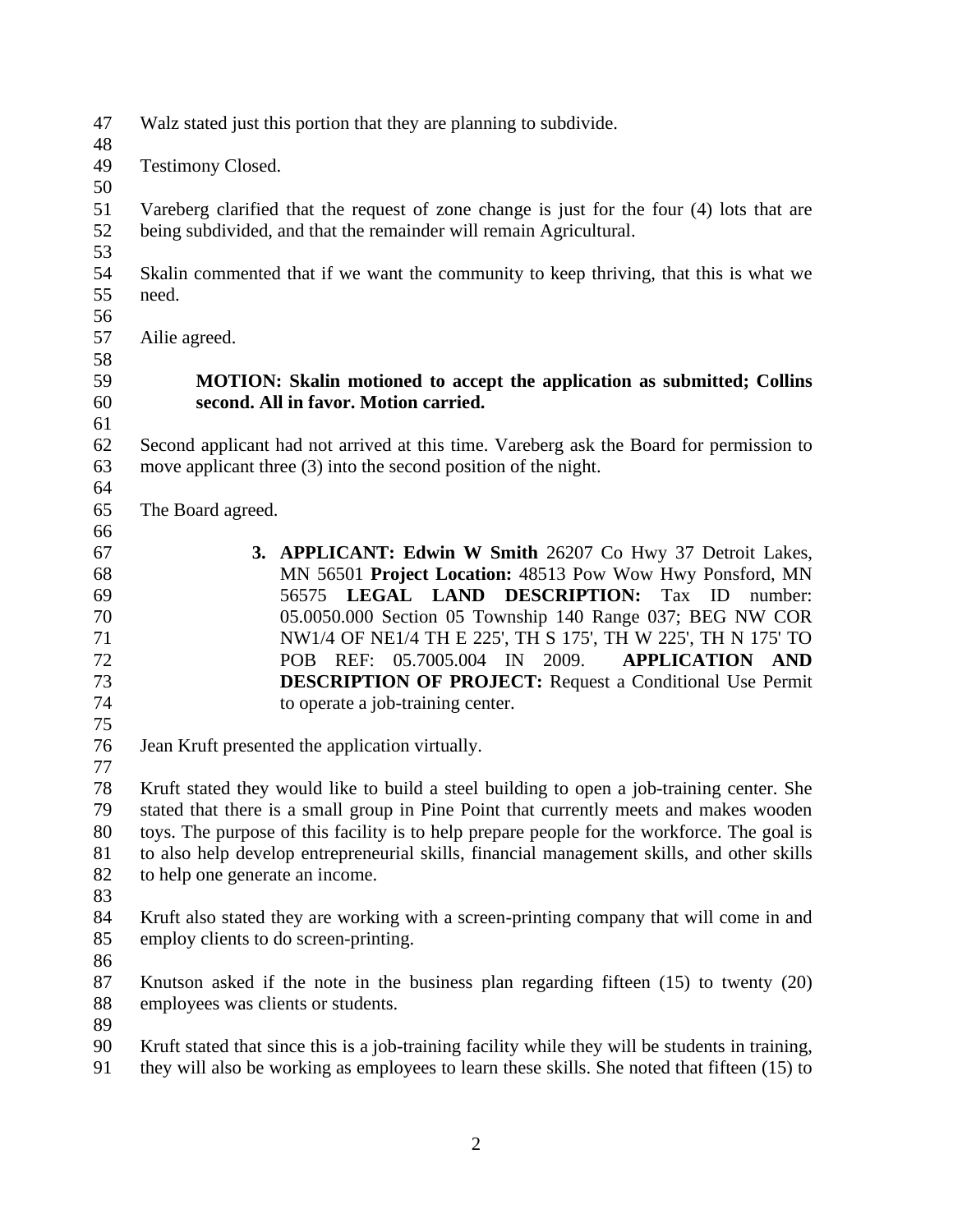- Walz stated just this portion that they are planning to subdivide.
- Testimony Closed.
- 

 Vareberg clarified that the request of zone change is just for the four (4) lots that are being subdivided, and that the remainder will remain Agricultural.

- 
- Skalin commented that if we want the community to keep thriving, that this is what we need.
- 
- Ailie agreed.
- 

# 

## **MOTION: Skalin motioned to accept the application as submitted; Collins second. All in favor. Motion carried.**

 Second applicant had not arrived at this time. Vareberg ask the Board for permission to move applicant three (3) into the second position of the night.

- The Board agreed.
- 
- **3. APPLICANT: Edwin W Smith** 26207 Co Hwy 37 Detroit Lakes, MN 56501 **Project Location:** 48513 Pow Wow Hwy Ponsford, MN 56575 **LEGAL LAND DESCRIPTION:** Tax ID number: 05.0050.000 Section 05 Township 140 Range 037; BEG NW COR NW1/4 OF NE1/4 TH E 225', TH S 175', TH W 225', TH N 175' TO POB REF: 05.7005.004 IN 2009. **APPLICATION AND DESCRIPTION OF PROJECT:** Request a Conditional Use Permit to operate a job-training center.
- Jean Kruft presented the application virtually.

 Kruft stated they would like to build a steel building to open a job-training center. She stated that there is a small group in Pine Point that currently meets and makes wooden toys. The purpose of this facility is to help prepare people for the workforce. The goal is to also help develop entrepreneurial skills, financial management skills, and other skills to help one generate an income.

 Kruft also stated they are working with a screen-printing company that will come in and employ clients to do screen-printing.

 Knutson asked if the note in the business plan regarding fifteen (15) to twenty (20) employees was clients or students.

Kruft stated that since this is a job-training facility while they will be students in training,

they will also be working as employees to learn these skills. She noted that fifteen (15) to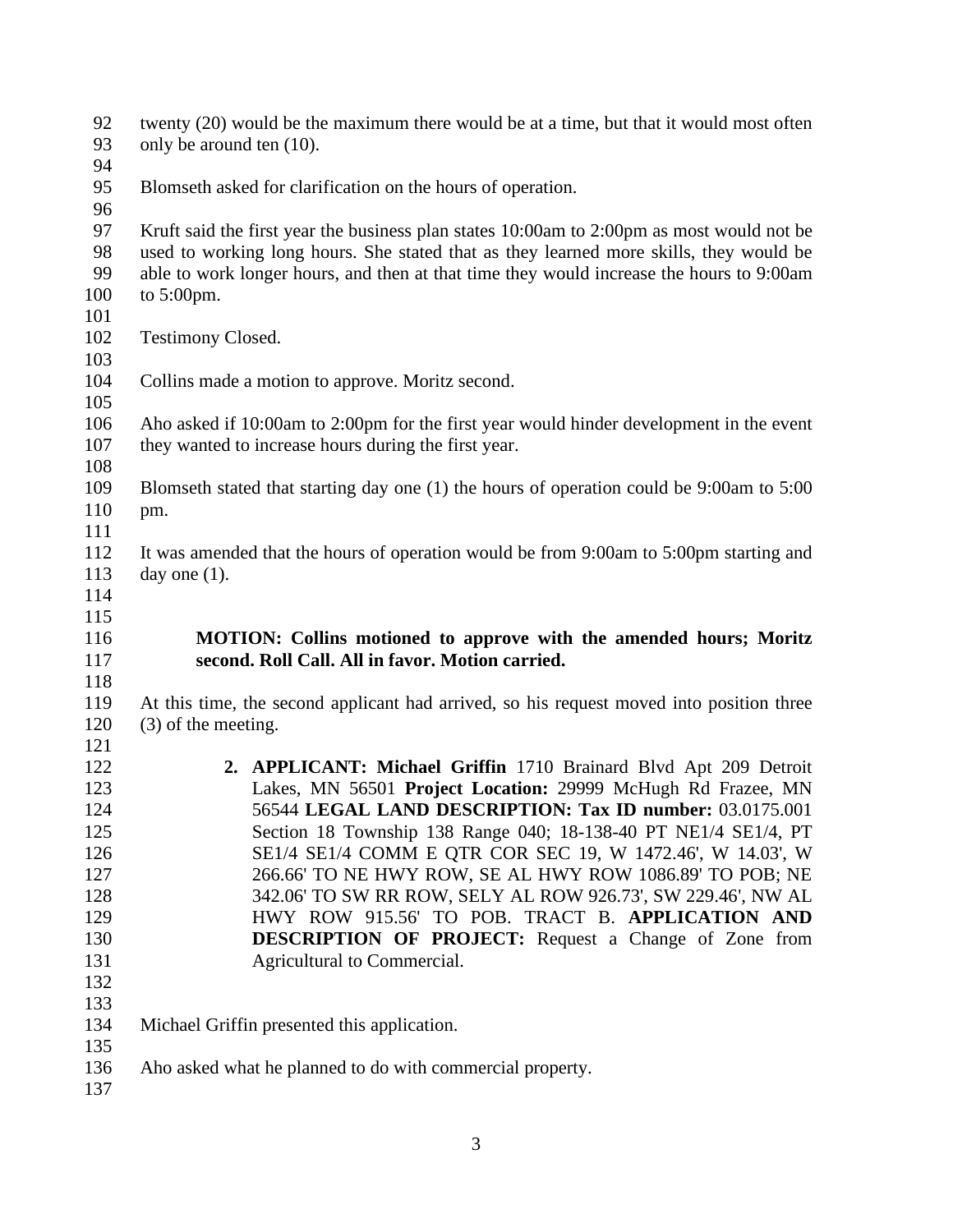| 92<br>93   | twenty (20) would be the maximum there would be at a time, but that it would most often<br>only be around ten (10).                             |
|------------|-------------------------------------------------------------------------------------------------------------------------------------------------|
| 94         |                                                                                                                                                 |
| 95<br>96   | Blomseth asked for clarification on the hours of operation.                                                                                     |
| 97         | Kruft said the first year the business plan states 10:00am to 2:00pm as most would not be                                                       |
| 98         | used to working long hours. She stated that as they learned more skills, they would be                                                          |
| 99         | able to work longer hours, and then at that time they would increase the hours to 9:00am                                                        |
| 100        | to $5:00 \text{pm}$ .                                                                                                                           |
| 101        |                                                                                                                                                 |
| 102        | <b>Testimony Closed.</b>                                                                                                                        |
| 103<br>104 | Collins made a motion to approve. Moritz second.                                                                                                |
| 105        |                                                                                                                                                 |
| 106<br>107 | Aho asked if 10:00am to 2:00pm for the first year would hinder development in the event<br>they wanted to increase hours during the first year. |
| 108        |                                                                                                                                                 |
| 109        | Blomseth stated that starting day one $(1)$ the hours of operation could be 9:00am to 5:00                                                      |
| 110        | pm.                                                                                                                                             |
| 111        |                                                                                                                                                 |
| 112        | It was amended that the hours of operation would be from 9:00am to 5:00pm starting and                                                          |
| 113        | day one $(1)$ .                                                                                                                                 |
| 114        |                                                                                                                                                 |
| 115        |                                                                                                                                                 |
| 116        | MOTION: Collins motioned to approve with the amended hours; Moritz                                                                              |
| 117        | second. Roll Call. All in favor. Motion carried.                                                                                                |
| 118        |                                                                                                                                                 |
| 119        | At this time, the second applicant had arrived, so his request moved into position three                                                        |
| 120        | $(3)$ of the meeting.                                                                                                                           |
| 121        |                                                                                                                                                 |
| 122        | 2. APPLICANT: Michael Griffin 1710 Brainard Blvd Apt 209 Detroit                                                                                |
| 123        | Lakes, MN 56501 Project Location: 29999 McHugh Rd Frazee, MN                                                                                    |
| 124<br>125 | 56544 LEGAL LAND DESCRIPTION: Tax ID number: 03.0175.001<br>Section 18 Township 138 Range 040; 18-138-40 PT NE1/4 SE1/4, PT                     |
| 126        | SE1/4 SE1/4 COMM E QTR COR SEC 19, W 1472.46', W 14.03', W                                                                                      |
| 127        | 266.66' TO NE HWY ROW, SE AL HWY ROW 1086.89' TO POB; NE                                                                                        |
| 128        | 342.06' TO SW RR ROW, SELY AL ROW 926.73', SW 229.46', NW AL                                                                                    |
| 129        | HWY ROW 915.56' TO POB. TRACT B. APPLICATION AND                                                                                                |
| 130        | <b>DESCRIPTION OF PROJECT:</b> Request a Change of Zone from                                                                                    |
| 131        | Agricultural to Commercial.                                                                                                                     |
| 132        |                                                                                                                                                 |
| 133        |                                                                                                                                                 |
| 134        | Michael Griffin presented this application.                                                                                                     |
| 135        |                                                                                                                                                 |
| 136        | Aho asked what he planned to do with commercial property.                                                                                       |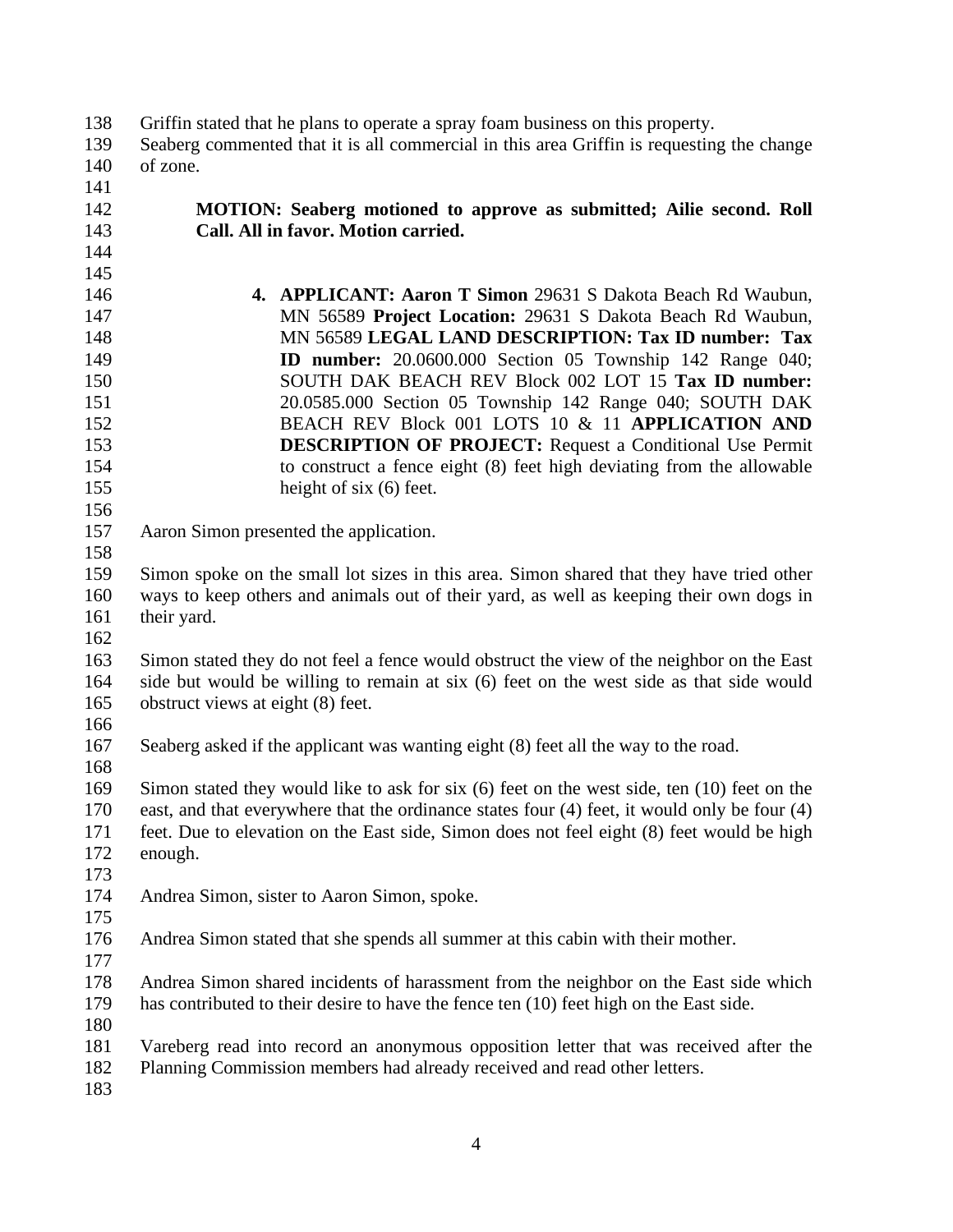#### Griffin stated that he plans to operate a spray foam business on this property.

- Seaberg commented that it is all commercial in this area Griffin is requesting the change of zone.
- 

 

## **MOTION: Seaberg motioned to approve as submitted; Ailie second. Roll Call. All in favor. Motion carried.**

- **4. APPLICANT: Aaron T Simon** 29631 S Dakota Beach Rd Waubun, MN 56589 **Project Location:** 29631 S Dakota Beach Rd Waubun, MN 56589 **LEGAL LAND DESCRIPTION: Tax ID number: Tax ID number:** 20.0600.000 Section 05 Township 142 Range 040; SOUTH DAK BEACH REV Block 002 LOT 15 **Tax ID number:** 20.0585.000 Section 05 Township 142 Range 040; SOUTH DAK BEACH REV Block 001 LOTS 10 & 11 **APPLICATION AND DESCRIPTION OF PROJECT:** Request a Conditional Use Permit to construct a fence eight (8) feet high deviating from the allowable 155 height of six (6) feet.
- 

Aaron Simon presented the application.

 Simon spoke on the small lot sizes in this area. Simon shared that they have tried other ways to keep others and animals out of their yard, as well as keeping their own dogs in 161 their yard.

 Simon stated they do not feel a fence would obstruct the view of the neighbor on the East side but would be willing to remain at six (6) feet on the west side as that side would obstruct views at eight (8) feet.

Seaberg asked if the applicant was wanting eight (8) feet all the way to the road.

 Simon stated they would like to ask for six (6) feet on the west side, ten (10) feet on the east, and that everywhere that the ordinance states four (4) feet, it would only be four (4) feet. Due to elevation on the East side, Simon does not feel eight (8) feet would be high enough.

Andrea Simon, sister to Aaron Simon, spoke.

Andrea Simon stated that she spends all summer at this cabin with their mother.

Andrea Simon shared incidents of harassment from the neighbor on the East side which

has contributed to their desire to have the fence ten (10) feet high on the East side.

Vareberg read into record an anonymous opposition letter that was received after the

Planning Commission members had already received and read other letters.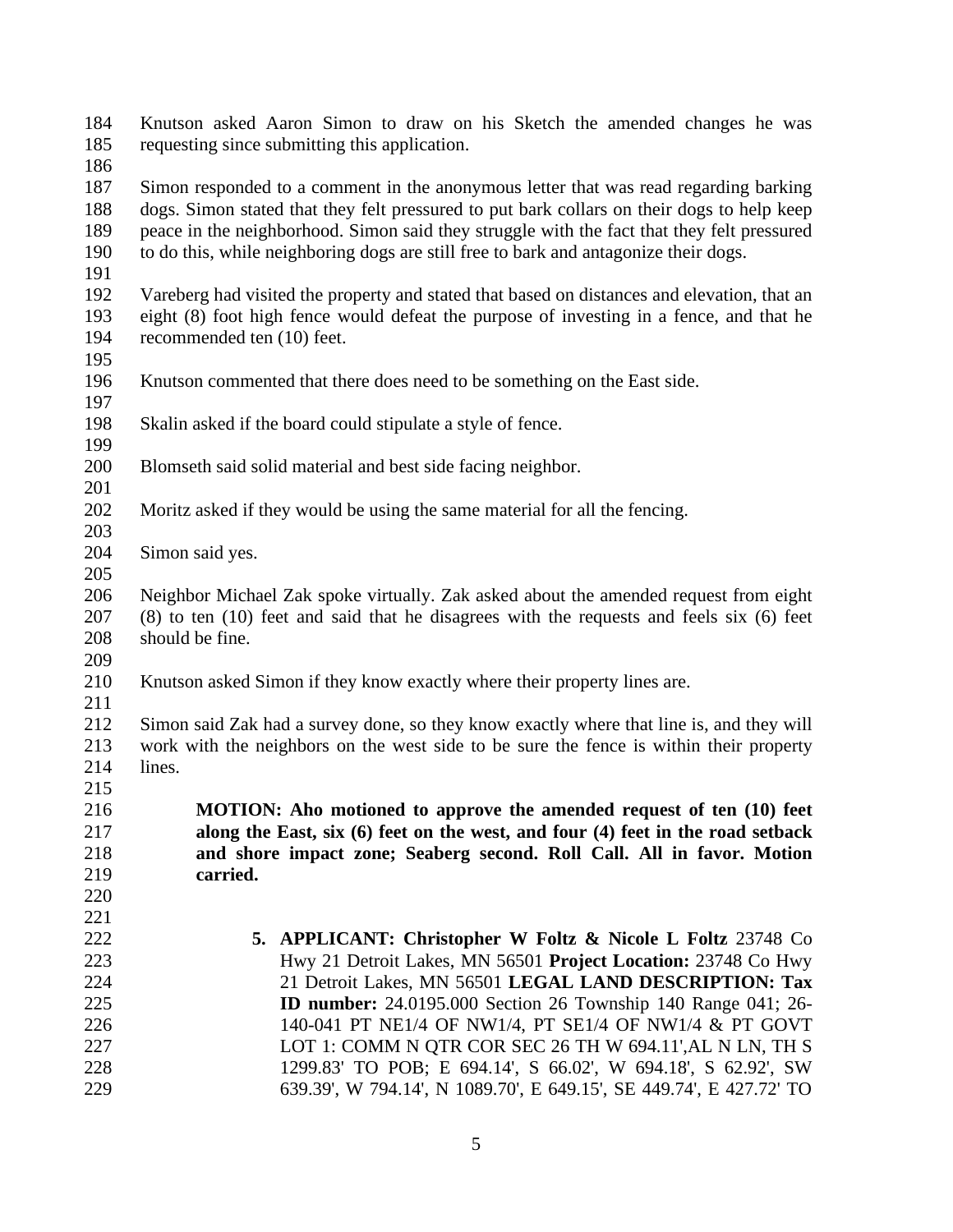Knutson asked Aaron Simon to draw on his Sketch the amended changes he was requesting since submitting this application.

 Simon responded to a comment in the anonymous letter that was read regarding barking dogs. Simon stated that they felt pressured to put bark collars on their dogs to help keep peace in the neighborhood. Simon said they struggle with the fact that they felt pressured to do this, while neighboring dogs are still free to bark and antagonize their dogs.

 Vareberg had visited the property and stated that based on distances and elevation, that an eight (8) foot high fence would defeat the purpose of investing in a fence, and that he recommended ten (10) feet.

- 
- Knutson commented that there does need to be something on the East side.
- 
- Skalin asked if the board could stipulate a style of fence.
- Blomseth said solid material and best side facing neighbor.
- 
- Moritz asked if they would be using the same material for all the fencing.
- Simon said yes.
- 

 Neighbor Michael Zak spoke virtually. Zak asked about the amended request from eight (8) to ten (10) feet and said that he disagrees with the requests and feels six (6) feet should be fine.

- Knutson asked Simon if they know exactly where their property lines are.
- 

 Simon said Zak had a survey done, so they know exactly where that line is, and they will work with the neighbors on the west side to be sure the fence is within their property lines. 

 **MOTION: Aho motioned to approve the amended request of ten (10) feet along the East, six (6) feet on the west, and four (4) feet in the road setback and shore impact zone; Seaberg second. Roll Call. All in favor. Motion carried.** 

 **5. APPLICANT: Christopher W Foltz & Nicole L Foltz** 23748 Co Hwy 21 Detroit Lakes, MN 56501 **Project Location:** 23748 Co Hwy 21 Detroit Lakes, MN 56501 **LEGAL LAND DESCRIPTION: Tax ID number:** 24.0195.000 Section 26 Township 140 Range 041; 26- 140-041 PT NE1/4 OF NW1/4, PT SE1/4 OF NW1/4 & PT GOVT 227 LOT 1: COMM N QTR COR SEC 26 TH W 694.11', AL N LN, TH S 1299.83' TO POB; E 694.14', S 66.02', W 694.18', S 62.92', SW 639.39', W 794.14', N 1089.70', E 649.15', SE 449.74', E 427.72' TO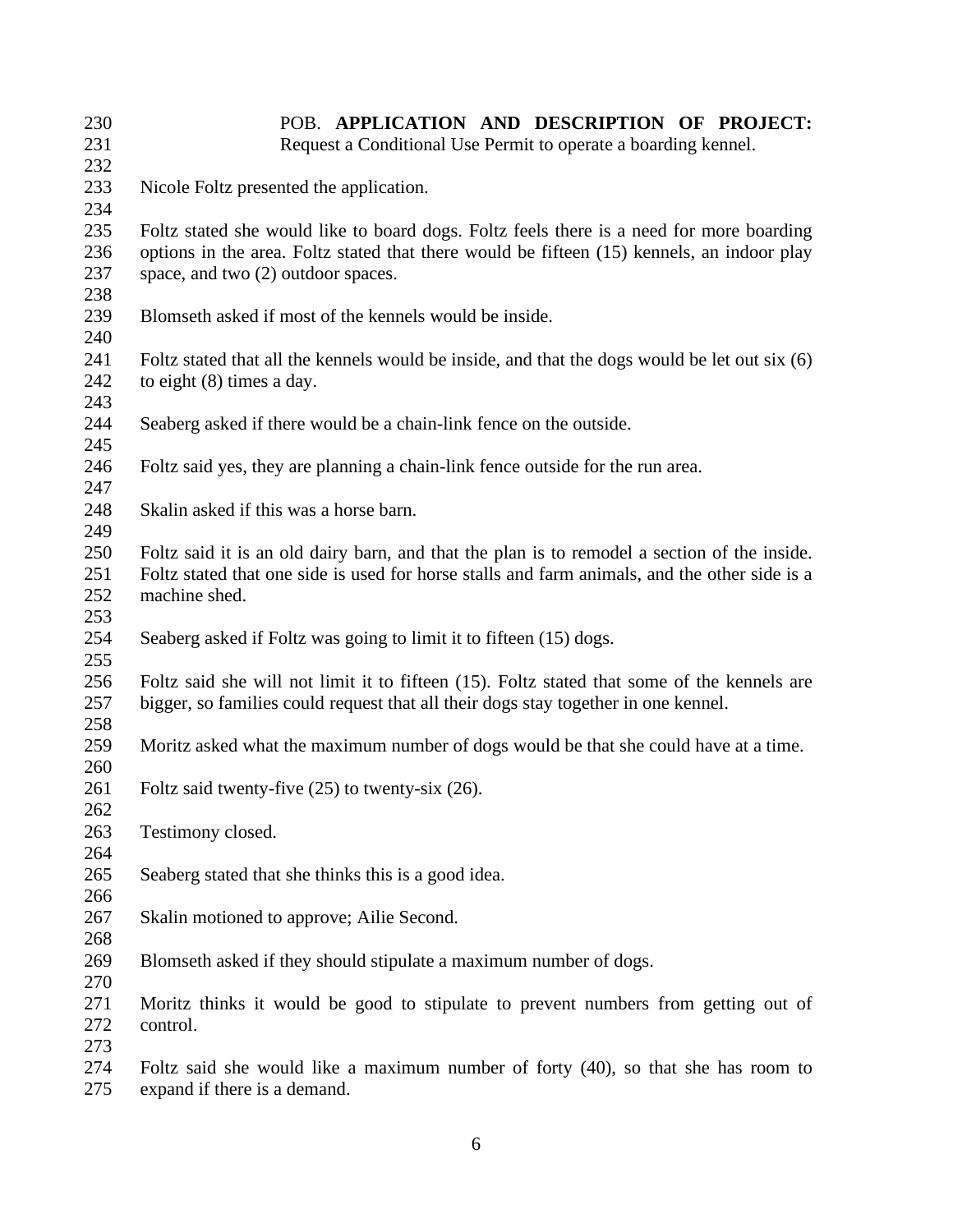| 230        | POB. APPLICATION AND DESCRIPTION OF PROJECT:                                                  |
|------------|-----------------------------------------------------------------------------------------------|
| 231        | Request a Conditional Use Permit to operate a boarding kennel.                                |
| 232        |                                                                                               |
| 233        | Nicole Foltz presented the application.                                                       |
| 234        |                                                                                               |
| 235        | Foltz stated she would like to board dogs. Foltz feels there is a need for more boarding      |
| 236        | options in the area. Foltz stated that there would be fifteen (15) kennels, an indoor play    |
| 237        | space, and two (2) outdoor spaces.                                                            |
| 238        |                                                                                               |
| 239        | Blomseth asked if most of the kennels would be inside.                                        |
| 240        |                                                                                               |
| 241        | Foltz stated that all the kennels would be inside, and that the dogs would be let out six (6) |
| 242        | to eight $(8)$ times a day.                                                                   |
| 243        |                                                                                               |
| 244        | Seaberg asked if there would be a chain-link fence on the outside.                            |
| 245        |                                                                                               |
| 246        | Foltz said yes, they are planning a chain-link fence outside for the run area.                |
| 247        |                                                                                               |
| 248        | Skalin asked if this was a horse barn.                                                        |
| 249        |                                                                                               |
| 250        | Foltz said it is an old dairy barn, and that the plan is to remodel a section of the inside.  |
| 251        | Foltz stated that one side is used for horse stalls and farm animals, and the other side is a |
| 252        | machine shed.                                                                                 |
| 253        |                                                                                               |
| 254        | Seaberg asked if Foltz was going to limit it to fifteen (15) dogs.                            |
| 255        |                                                                                               |
| 256<br>257 | Foltz said she will not limit it to fifteen (15). Foltz stated that some of the kennels are   |
| 258        | bigger, so families could request that all their dogs stay together in one kennel.            |
| 259        | Moritz asked what the maximum number of dogs would be that she could have at a time.          |
| 260        |                                                                                               |
| 261        | Foltz said twenty-five $(25)$ to twenty-six $(26)$ .                                          |
| 262        |                                                                                               |
| 263        | Testimony closed.                                                                             |
| 264        |                                                                                               |
| 265        | Seaberg stated that she thinks this is a good idea.                                           |
| 266        |                                                                                               |
| 267        | Skalin motioned to approve; Ailie Second.                                                     |
| 268        |                                                                                               |
| 269        | Blomseth asked if they should stipulate a maximum number of dogs.                             |
| 270        |                                                                                               |
| 271        | Moritz thinks it would be good to stipulate to prevent numbers from getting out of            |
| 272        | control.                                                                                      |
| 273        |                                                                                               |
| 274        | Foltz said she would like a maximum number of forty $(40)$ , so that she has room to          |
| 275        | expand if there is a demand.                                                                  |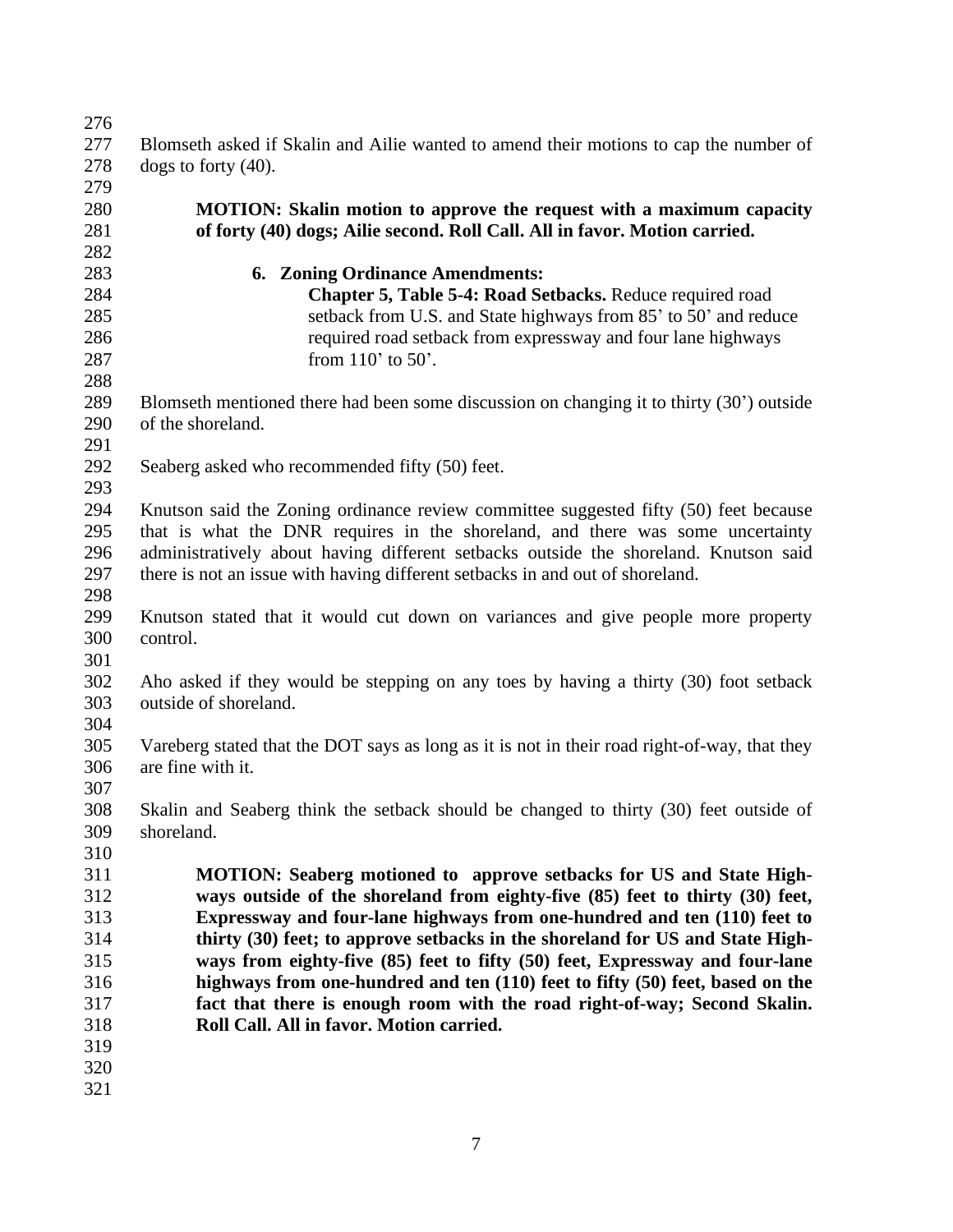| 276 |                                                                                              |
|-----|----------------------------------------------------------------------------------------------|
| 277 | Blomseth asked if Skalin and Ailie wanted to amend their motions to cap the number of        |
| 278 | dogs to forty $(40)$ .                                                                       |
| 279 |                                                                                              |
| 280 | MOTION: Skalin motion to approve the request with a maximum capacity                         |
| 281 | of forty (40) dogs; Ailie second. Roll Call. All in favor. Motion carried.                   |
| 282 |                                                                                              |
| 283 | <b>6. Zoning Ordinance Amendments:</b>                                                       |
| 284 | Chapter 5, Table 5-4: Road Setbacks. Reduce required road                                    |
| 285 | setback from U.S. and State highways from 85' to 50' and reduce                              |
| 286 | required road setback from expressway and four lane highways                                 |
| 287 | from $110'$ to $50'$ .                                                                       |
| 288 |                                                                                              |
| 289 | Blomseth mentioned there had been some discussion on changing it to thirty (30') outside     |
| 290 |                                                                                              |
|     | of the shoreland.                                                                            |
| 291 |                                                                                              |
| 292 | Seaberg asked who recommended fifty (50) feet.                                               |
| 293 |                                                                                              |
| 294 | Knutson said the Zoning ordinance review committee suggested fifty (50) feet because         |
| 295 | that is what the DNR requires in the shoreland, and there was some uncertainty               |
| 296 | administratively about having different setbacks outside the shoreland. Knutson said         |
| 297 | there is not an issue with having different setbacks in and out of shoreland.                |
| 298 |                                                                                              |
| 299 | Knutson stated that it would cut down on variances and give people more property             |
| 300 | control.                                                                                     |
| 301 |                                                                                              |
| 302 | Aho asked if they would be stepping on any toes by having a thirty (30) foot setback         |
| 303 | outside of shoreland.                                                                        |
| 304 |                                                                                              |
| 305 | Vareberg stated that the DOT says as long as it is not in their road right-of-way, that they |
| 306 | are fine with it.                                                                            |
| 307 |                                                                                              |
| 308 | Skalin and Seaberg think the setback should be changed to thirty (30) feet outside of        |
| 309 | shoreland.                                                                                   |
| 310 |                                                                                              |
| 311 | <b>MOTION:</b> Seaberg motioned to approve setbacks for US and State High-                   |
| 312 | ways outside of the shoreland from eighty-five (85) feet to thirty (30) feet,                |
| 313 | Expressway and four-lane highways from one-hundred and ten (110) feet to                     |
| 314 | thirty (30) feet; to approve setbacks in the shoreland for US and State High-                |
| 315 | ways from eighty-five (85) feet to fifty (50) feet, Expressway and four-lane                 |
| 316 | highways from one-hundred and ten (110) feet to fifty (50) feet, based on the                |
| 317 | fact that there is enough room with the road right-of-way; Second Skalin.                    |
| 318 | Roll Call. All in favor. Motion carried.                                                     |
| 319 |                                                                                              |
| 320 |                                                                                              |
| 321 |                                                                                              |